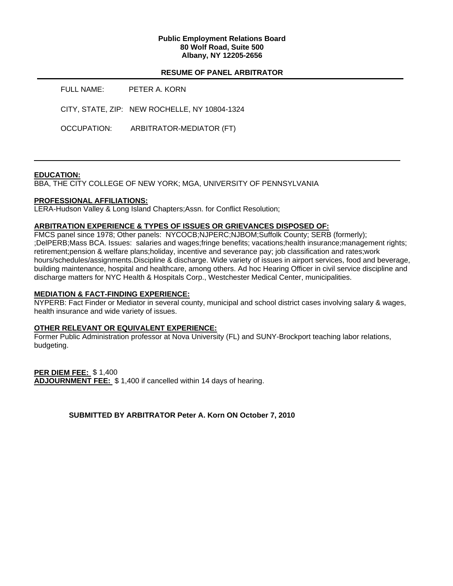## **Public Employment Relations Board 80 Wolf Road, Suite 500 Albany, NY 12205-2656**

## **RESUME OF PANEL ARBITRATOR**

| FULL NAME:  | PETER A. KORN                                 |
|-------------|-----------------------------------------------|
|             | CITY, STATE, ZIP: NEW ROCHELLE, NY 10804-1324 |
| OCCUPATION: | ARBITRATOR-MEDIATOR (FT)                      |

## **EDUCATION:**

BBA, THE CITY COLLEGE OF NEW YORK; MGA, UNIVERSITY OF PENNSYLVANIA

#### **PROFESSIONAL AFFILIATIONS:**

LERA-Hudson Valley & Long Island Chapters;Assn. for Conflict Resolution;

#### **ARBITRATION EXPERIENCE & TYPES OF ISSUES OR GRIEVANCES DISPOSED OF:**

FMCS panel since 1978; Other panels: NYCOCB;NJPERC;NJBOM;Suffolk County; SERB (formerly); ;DelPERB;Mass BCA. Issues: salaries and wages;fringe benefits; vacations;health insurance;management rights; retirement;pension & welfare plans;holiday, incentive and severance pay; job classification and rates;work hours/schedules/assignments.Discipline & discharge. Wide variety of issues in airport services, food and beverage, building maintenance, hospital and healthcare, among others. Ad hoc Hearing Officer in civil service discipline and discharge matters for NYC Health & Hospitals Corp., Westchester Medical Center, municipalities.

#### **MEDIATION & FACT-FINDING EXPERIENCE:**

NYPERB: Fact Finder or Mediator in several county, municipal and school district cases involving salary & wages, health insurance and wide variety of issues.

## **OTHER RELEVANT OR EQUIVALENT EXPERIENCE:**

Former Public Administration professor at Nova University (FL) and SUNY-Brockport teaching labor relations, budgeting.

**PER DIEM FEE:** \$ 1,400 **ADJOURNMENT FEE:** \$ 1,400 if cancelled within 14 days of hearing.

**SUBMITTED BY ARBITRATOR Peter A. Korn ON October 7, 2010**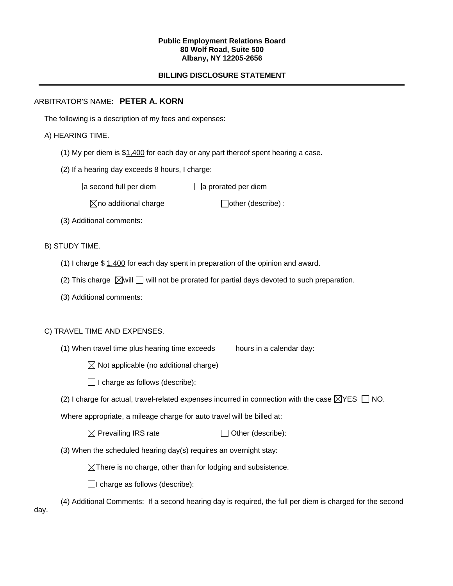#### **Public Employment Relations Board 80 Wolf Road, Suite 500 Albany, NY 12205-2656**

# **BILLING DISCLOSURE STATEMENT**

## ARBITRATOR'S NAME: **PETER A. KORN**

The following is a description of my fees and expenses:

## A) HEARING TIME.

- (1) My per diem is \$1,400 for each day or any part thereof spent hearing a case.
- (2) If a hearing day exceeds 8 hours, I charge:

 $\Box$ a second full per diem  $\Box$ a prorated per diem

 $\boxtimes$ no additional charge  $\Box$ other (describe) :

(3) Additional comments:

B) STUDY TIME.

- (1) I charge \$ 1,400 for each day spent in preparation of the opinion and award.
- (2) This charge  $\boxtimes$  will  $\Box$  will not be prorated for partial days devoted to such preparation.
- (3) Additional comments:

# C) TRAVEL TIME AND EXPENSES.

- (1) When travel time plus hearing time exceeds hours in a calendar day:
	- $\boxtimes$  Not applicable (no additional charge)
	- $\Box$  I charge as follows (describe):
- (2) I charge for actual, travel-related expenses incurred in connection with the case  $\boxtimes$ YES  $\Box$  NO.

Where appropriate, a mileage charge for auto travel will be billed at:

| $\boxtimes$ Prevailing IRS rate | $\Box$ Other (describe): |
|---------------------------------|--------------------------|
|---------------------------------|--------------------------|

(3) When the scheduled hearing day(s) requires an overnight stay:

 $\boxtimes$ There is no charge, other than for lodging and subsistence.

 $\Box$ I charge as follows (describe):

(4) Additional Comments: If a second hearing day is required, the full per diem is charged for the second

day.